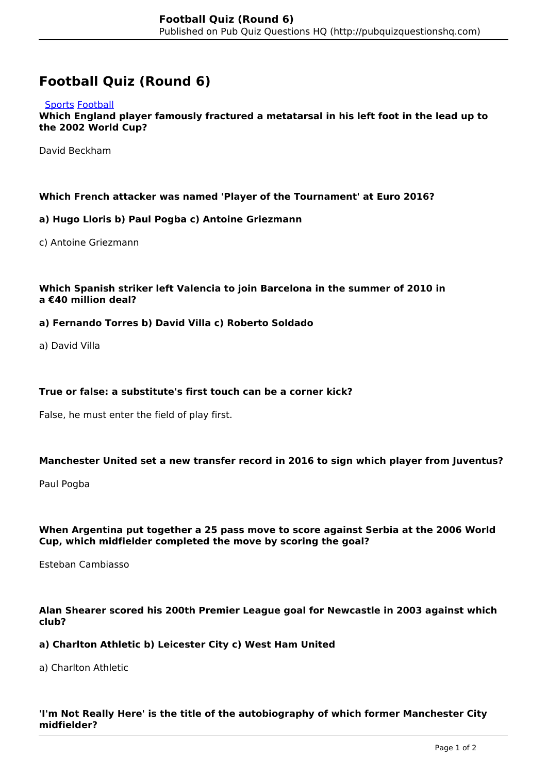# **Football Quiz (Round 6)**

#### [Sports](http://pubquizquestionshq.com/categories/sports) [Football](http://pubquizquestionshq.com/categories/football)

**Which England player famously fractured a metatarsal in his left foot in the lead up to the 2002 World Cup?**

David Beckham

#### **Which French attacker was named 'Player of the Tournament' at Euro 2016?**

#### **a) Hugo Lloris b) Paul Pogba c) Antoine Griezmann**

c) Antoine Griezmann

## **Which Spanish striker left Valencia to join Barcelona in the summer of 2010 in a €40 million deal?**

#### **a) Fernando Torres b) David Villa c) Roberto Soldado**

a) David Villa

#### **True or false: a substitute's first touch can be a corner kick?**

False, he must enter the field of play first.

#### **Manchester United set a new transfer record in 2016 to sign which player from Juventus?**

Paul Pogba

#### **When Argentina put together a 25 pass move to score against Serbia at the 2006 World Cup, which midfielder completed the move by scoring the goal?**

Esteban Cambiasso

### **Alan Shearer scored his 200th Premier League goal for Newcastle in 2003 against which club?**

#### **a) Charlton Athletic b) Leicester City c) West Ham United**

a) Charlton Athletic

## **'I'm Not Really Here' is the title of the autobiography of which former Manchester City midfielder?**